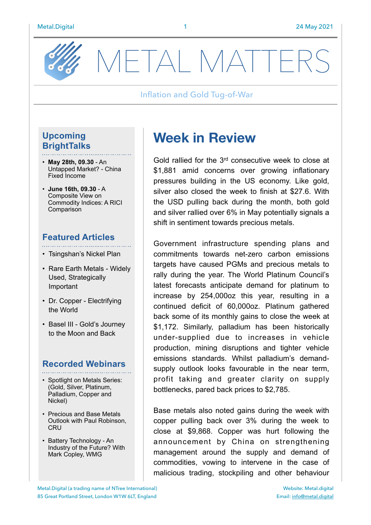

METAL MATTE

#### Inflation and Gold Tug-of-War

## **Upcoming BrightTalks**

- **May 28th, 09.30** An Untapped Market? - China Fixed Income
- **June 16th, 09.30** A Composite View on Commodity Indices: A RICI Comparison

## **Featured Articles**

- Tsingshan's Nickel Plan
- Rare Earth Metals Widely Used, Strategically Important
- Dr. Copper Electrifying the World
- Basel III Gold's Journey to the Moon and Back

## **Recorded Webinars**

- Spotlight on Metals Series: (Gold, Silver, Platinum, Palladium, Copper and Nickel)
- Precious and Base Metals Outlook with Paul Robinson, **CRU**
- Battery Technology An Industry of the Future? With Mark Copley, WMG

# **Week in Review**

Gold rallied for the 3rd consecutive week to close at \$1,881 amid concerns over growing inflationary pressures building in the US economy. Like gold, silver also closed the week to finish at \$27.6. With the USD pulling back during the month, both gold and silver rallied over 6% in May potentially signals a shift in sentiment towards precious metals.

Government infrastructure spending plans and commitments towards net-zero carbon emissions targets have caused PGMs and precious metals to rally during the year. The World Platinum Council's latest forecasts anticipate demand for platinum to increase by 254,000oz this year, resulting in a continued deficit of 60,000oz. Platinum gathered back some of its monthly gains to close the week at \$1,172. Similarly, palladium has been historically under-supplied due to increases in vehicle production, mining disruptions and tighter vehicle emissions standards. Whilst palladium's demandsupply outlook looks favourable in the near term, profit taking and greater clarity on supply bottlenecks, pared back prices to \$2,785.

Base metals also noted gains during the week with copper pulling back over 3% during the week to close at \$9,868. Copper was hurt following the announcement by China on strengthening management around the supply and demand of commodities, vowing to intervene in the case of malicious trading, stockpiling and other behaviour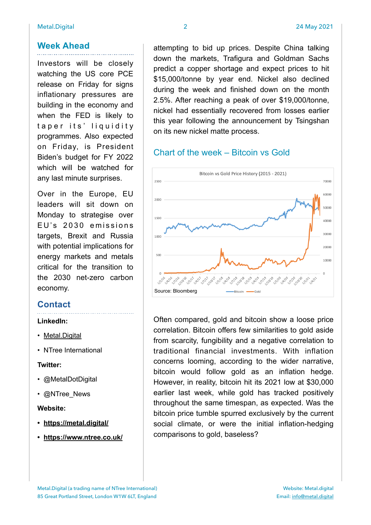Investors will be closely watching the US core PCE release on Friday for signs inflationary pressures are building in the economy and when the FED is likely to taper its' liquidity programmes. Also expected on Friday, is President Biden's budget for FY 2022 which will be watched for any last minute surprises.

Over in the Europe, EU leaders will sit down on Monday to strategise over EU's 2030 emissions targets, Brexit and Russia with potential implications for energy markets and metals critical for the transition to the 2030 net-zero carbon economy.

## **Contact**

#### **LinkedIn:**

- [Metal.Digital](https://www.linkedin.com/company/metal-digital/)
- NTree International

#### **Twitter:**

- @MetalDotDigital
- @NTree\_News

#### **Website:**

- **• <https://metal.digital/>**
- **• <https://www.ntree.co.uk/>**

attempting to bid up prices. Despite China talking down the markets, Trafigura and Goldman Sachs predict a copper shortage and expect prices to hit \$15,000/tonne by year end. Nickel also declined during the week and finished down on the month 2.5%. After reaching a peak of over \$19,000/tonne, nickel had essentially recovered from losses earlier this year following the announcement by Tsingshan on its new nickel matte process.

## Chart of the week – Bitcoin vs Gold



Often compared, gold and bitcoin show a loose price correlation. Bitcoin offers few similarities to gold aside from scarcity, fungibility and a negative correlation to traditional financial investments. With inflation concerns looming, according to the wider narrative, bitcoin would follow gold as an inflation hedge. However, in reality, bitcoin hit its 2021 low at \$30,000 earlier last week, while gold has tracked positively throughout the same timespan, as expected. Was the bitcoin price tumble spurred exclusively by the current social climate, or were the initial inflation-hedging comparisons to gold, baseless?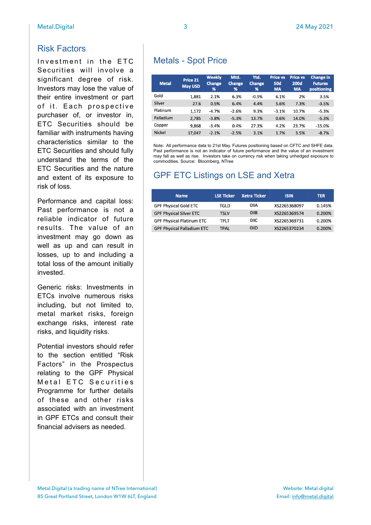## Risk Factors

Investment in the ETC Securities will involve a significant degree of risk. Investors may lose the value of their entire investment or part of it. Each prospective purchaser of, or investor in, ETC Securities should be familiar with instruments having characteristics similar to the ETC Securities and should fully understand the terms of the ETC Securities and the nature and extent of its exposure to risk of loss.

Performance and capital loss: Past performance is not a reliable indicator of future results. The value of an investment may go down as well as up and can result in losses, up to and including a total loss of the amount initially invested.

Generic risks: Investments in ETCs involve numerous risks including, but not limited to, metal market risks, foreign exchange risks, interest rate risks, and liquidity risks.

Potential investors should refer to the section entitled "Risk Factors" in the Prospectus relating to the GPF Physical Metal ETC Securities Programme for further details of these and other risks associated with an investment in GPF ETCs and consult their financial advisers as needed.

| <b>Metal</b>  | Price 21<br><b>May USD</b> | Weekly<br><b>Change</b><br>% | Mtd.<br><b>Change</b><br>% | Ytd.<br><b>Change</b><br>$\frac{9}{6}$ | <b>Price vs</b><br><b>50d</b><br><b>MA</b> | <b>Price vs</b><br><b>200d</b><br><b>MA</b> | <b>Change in</b><br><b>Futures</b><br>positioning |
|---------------|----------------------------|------------------------------|----------------------------|----------------------------------------|--------------------------------------------|---------------------------------------------|---------------------------------------------------|
| Gold          | 1.881                      | 2.1%                         | 6.3%                       | $-0.9%$                                | 6.1%                                       | 2%                                          | 3.5%                                              |
| Silver        | 27.6                       | 0.5%                         | 6.4%                       | 4.4%                                   | 5.6%                                       | 7.3%                                        | $-3.5%$                                           |
| Platinum      | 1,172                      | $-4.7%$                      | $-2.6%$                    | 9.3%                                   | $-3.1%$                                    | 10.7%                                       | $-5.3%$                                           |
| Palladium     | 2,785                      | $-3.8%$                      | $-5.3%$                    | 13.7%                                  | 0.6%                                       | 14.0%                                       | $-5.3%$                                           |
| Copper        | 9,868                      | $-3.4%$                      | 0.4%                       | 27.3%                                  | 4.2%                                       | 23.7%                                       | $-15.0%$                                          |
| <b>Nickel</b> | 17.047                     | $-2.1%$                      | $-2.5%$                    | 3.1%                                   | 1.7%                                       | 3.5%                                        | $-8.7%$                                           |

Note: All performance data to 21st May. Futures positioning based on CFTC and SHFE data. Past performance is not an indicator of future performance and the value of an investment may fall as well as rise. Investors take on currency risk when taking unhedged exposure to commodities. Source: Bloomberg, NTree

# GPF ETC Listings on LSE and Xetra

| <b>Name</b>                       | <b>LSE Ticker</b> | <b>Xetra Ticker</b> | <b>ISIN</b>  | <b>TER</b> |
|-----------------------------------|-------------------|---------------------|--------------|------------|
| <b>GPF Physical Gold ETC</b>      | TGLD              | OIIA                | XS2265368097 | 0.145%     |
| <b>GPF Physical Silver ETC</b>    | <b>TSLV</b>       | <b>OIIB</b>         | XS2265369574 | 0.200%     |
| <b>GPF Physical Platinum ETC</b>  | TPLT              | 0IIC.               | XS2265369731 | 0.200%     |
| <b>GPF Physical Palladium ETC</b> | TPAL              | <b>OIID</b>         | XS2265370234 | 0.200%     |